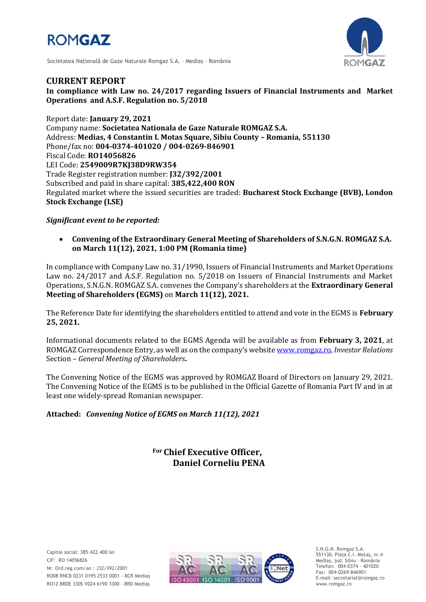



Societatea Naţională de Gaze Naturale Romgaz S.A. – Mediaş - România

# **CURRENT REPORT**

**In compliance with Law no. 24/2017 regarding Issuers of Financial Instruments and Market Operations and A.S.F. Regulation no. 5/2018**

Report date: **January 29, 2021** Company name: **Societatea Nationala de Gaze Naturale ROMGAZ S.A.** Address: **Medias, 4 Constantin I. Motas Square, Sibiu County – Romania, 551130** Phone/fax no: **004-0374-401020 / 004-0269-846901** Fiscal Code: **RO14056826** LEI Code: **2549009R7KJ38D9RW354** Trade Register registration number: **J32/392/2001** Subscribed and paid in share capital: **385,422,400 RON** Regulated market where the issued securities are traded: **Bucharest Stock Exchange (BVB), London Stock Exchange (LSE)**

## *Significant event to be reported:*

 **Convening of the Extraordinary General Meeting of Shareholders of S.N.G.N. ROMGAZ S.A. on March 11(12), 2021, 1:00 PM (Romania time)**

In compliance with Company Law no. 31/1990, Issuers of Financial Instruments and Market Operations Law no. 24/2017 and A.S.F. Regulation no. 5/2018 on Issuers of Financial Instruments and Market Operations, S.N.G.N. ROMGAZ S.A. convenes the Company's shareholders at the **Extraordinary General Meeting of Shareholders (EGMS)** on **March 11(12), 2021.**

The Reference Date for identifying the shareholders entitled to attend and vote in the EGMS is **February 25, 2021.**

Informational documents related to the EGMS Agenda will be available as from **February 3, 2021**, at ROMGAZ Correspondence Entry, as well as on the company's website [www.romgaz.ro,](http://www.romgaz.ro/) *Investor Relations* Section – *General Meeting of Shareholders***.**

The Convening Notice of the EGMS was approved by ROMGAZ Board of Directors on January 29, 2021. The Convening Notice of the EGMS is to be published in the Official Gazette of Romania Part IV and in at least one widely-spread Romanian newspaper.

### **Attached:** *Convening Notice of EGMS on March 11(12), 2021*

**For Chief Executive Officer, Daniel Corneliu PENA**

Capital social: 385.422.400 lei CIF: RO 14056826 Nr. Ord.reg.com/an : J32/392/2001 RO08 RNCB 0231 0195 2533 0001 - BCR Mediaş RO12 BRDE 330S V024 6190 3300 - BRD Mediaş



S.N.G.N. Romgaz S.A. 551130, Piața C.I. Motaş, nr.4 Mediaş, jud. Sibiu - România Telefon: 004-0374 - 401020 Fax: 004-0269-846901 E-mail: secretariat@romgaz.ro www.romgaz.ro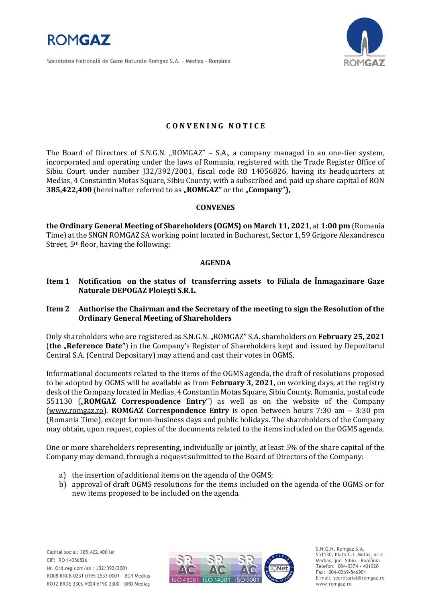

Societatea Naţională de Gaze Naturale Romgaz S.A. – Mediaş - România



## **C O N V E N I N G N O T I C E**

The Board of Directors of S.N.G.N. "ROMGAZ" - S.A., a company managed in an one-tier system, incorporated and operating under the laws of Romania, registered with the Trade Register Office of Sibiu Court under number J32/392/2001, fiscal code RO 14056826, having its headquarters at Medias, 4 Constantin Motas Square, Sibiu County, with a subscribed and paid up share capital of RON **385,422,400** (hereinafter referred to as "ROMGAZ" or the "Company"),

#### **CONVENES**

**the Ordinary General Meeting of Shareholders (OGMS) on March 11, 2021**, at **1:00 pm** (Romania Time) at the SNGN ROMGAZ SA working point located in Bucharest, Sector 1, 59 Grigore Alexandrescu Street, 5th floor, having the following:

#### **AGENDA**

- **Item 1 Notification on the status of transferring assets to Filiala de Înmagazinare Gaze Naturale DEPOGAZ Ploiești S.R.L.**
- **Item 2 Authorise the Chairman and the Secretary of the meeting to sign the Resolution of the Ordinary General Meeting of Shareholders**

Only shareholders who are registered as S.N.G.N. "ROMGAZ" S.A. shareholders on **February 25, 2021** (the "Reference Date") in the Company's Register of Shareholders kept and issued by Depozitarul Central S.A. (Central Depositary) may attend and cast their votes in OGMS.

Informational documents related to the items of the OGMS agenda, the draft of resolutions proposed to be adopted by OGMS will be available as from **February 3, 2021,** on working days, at the registry desk of the Company located in Medias, 4 Constantin Motas Square, Sibiu County, Romania, postal code 551130 ("ROMGAZ Correspondence Entry") as well as on the website of the Company [\(www.romgaz.ro\)](http://www.romgaz.ro/). **ROMGAZ Correspondence Entry** is open between hours 7:30 am – 3:30 pm (Romania Time), except for non-business days and public holidays. The shareholders of the Company may obtain, upon request, copies of the documents related to the items included on the OGMS agenda.

One or more shareholders representing, individually or jointly, at least 5% of the share capital of the Company may demand, through a request submitted to the Board of Directors of the Company:

- a) the insertion of additional items on the agenda of the OGMS;
- b) approval of draft OGMS resolutions for the items included on the agenda of the OGMS or for new items proposed to be included on the agenda.



S.N.G.N. Romgaz S.A. 551130, Piața C.I. Motaş, nr.4 Mediaş, jud. Sibiu - România Telefon: 004-0374 - 401020 Fax: 004-0269-846901 E-mail: secretariat@romgaz.ro www.romgaz.ro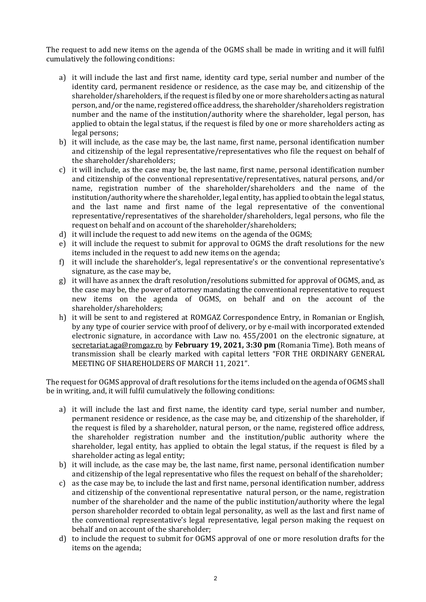The request to add new items on the agenda of the OGMS shall be made in writing and it will fulfil cumulatively the following conditions:

- a) it will include the last and first name, identity card type, serial number and number of the identity card, permanent residence or residence, as the case may be, and citizenship of the shareholder/shareholders, if the request is filed by one or more shareholders acting as natural person, and/or the name, registered office address, the shareholder/shareholders registration number and the name of the institution/authority where the shareholder, legal person, has applied to obtain the legal status, if the request is filed by one or more shareholders acting as legal persons;
- b) it will include, as the case may be, the last name, first name, personal identification number and citizenship of the legal representative/representatives who file the request on behalf of the shareholder/shareholders;
- c) it will include, as the case may be, the last name, first name, personal identification number and citizenship of the conventional representative/representatives, natural persons, and/or name, registration number of the shareholder/shareholders and the name of the institution/authority where the shareholder, legal entity, has applied to obtain the legal status, and the last name and first name of the legal representative of the conventional representative/representatives of the shareholder/shareholders, legal persons, who file the request on behalf and on account of the shareholder/shareholders;
- d) it will include the request to add new items on the agenda of the OGMS;
- e) it will include the request to submit for approval to OGMS the draft resolutions for the new items included in the request to add new items on the agenda;
- f) it will include the shareholder's, legal representative's or the conventional representative's signature, as the case may be,
- g) it will have as annex the draft resolution/resolutions submitted for approval of OGMS, and, as the case may be, the power of attorney mandating the conventional representative to request new items on the agenda of OGMS, on behalf and on the account of the shareholder/shareholders;
- h) it will be sent to and registered at ROMGAZ Correspondence Entry, in Romanian or English, by any type of courier service with proof of delivery, or by e-mail with incorporated extended electronic signature, in accordance with Law no. 455/2001 on the electronic signature, at [secretariat.aga@romgaz.ro](mailto:secretariat.aga%40romgaz.ro) by **February 19, 2021, 3:30 pm** (Romania Time). Both means of transmission shall be clearly marked with capital letters "FOR THE ORDINARY GENERAL MEETING OF SHAREHOLDERS OF MARCH 11, 2021".

The request for OGMS approval of draft resolutions for the items included on the agenda of OGMS shall be in writing, and, it will fulfil cumulatively the following conditions:

- a) it will include the last and first name, the identity card type, serial number and number, permanent residence or residence, as the case may be, and citizenship of the shareholder, if the request is filed by a shareholder, natural person, or the name, registered office address, the shareholder registration number and the institution/public authority where the shareholder, legal entity, has applied to obtain the legal status, if the request is filed by a shareholder acting as legal entity;
- b) it will include, as the case may be, the last name, first name, personal identification number and citizenship of the legal representative who files the request on behalf of the shareholder;
- c) as the case may be, to include the last and first name, personal identification number, address and citizenship of the conventional representative natural person, or the name, registration number of the shareholder and the name of the public institution/authority where the legal person shareholder recorded to obtain legal personality, as well as the last and first name of the conventional representative's legal representative, legal person making the request on behalf and on account of the shareholder;
- d) to include the request to submit for OGMS approval of one or more resolution drafts for the items on the agenda;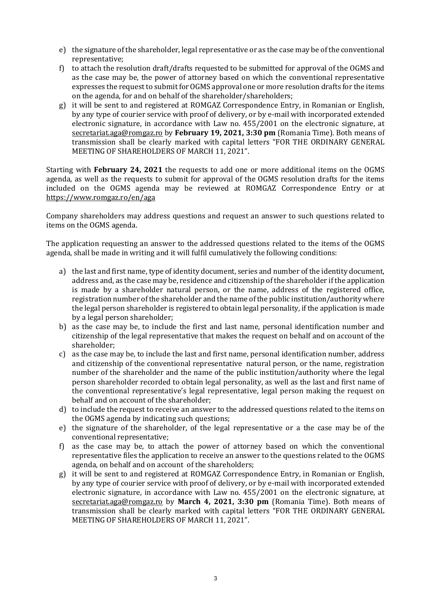- e) the signature of the shareholder, legal representative or as the case may be of the conventional representative;
- f) to attach the resolution draft/drafts requested to be submitted for approval of the OGMS and as the case may be, the power of attorney based on which the conventional representative expresses the request to submit for OGMS approval one or more resolution drafts for the items on the agenda, for and on behalf of the shareholder/shareholders;
- g) it will be sent to and registered at ROMGAZ Correspondence Entry, in Romanian or English, by any type of courier service with proof of delivery, or by e-mail with incorporated extended electronic signature, in accordance with Law no. 455/2001 on the electronic signature, at [secretariat.aga@romgaz.ro](mailto:secretariat.aga%40romgaz.ro) by **February 19, 2021, 3:30 pm** (Romania Time). Both means of transmission shall be clearly marked with capital letters "FOR THE ORDINARY GENERAL MEETING OF SHAREHOLDERS OF MARCH 11, 2021".

Starting with **February 24, 2021** the requests to add one or more additional items on the OGMS agenda, as well as the requests to submit for approval of the OGMS resolution drafts for the items included on the OGMS agenda may be reviewed at ROMGAZ Correspondence Entry or at <https://www.romgaz.ro/en/aga>

Company shareholders may address questions and request an answer to such questions related to items on the OGMS agenda.

The application requesting an answer to the addressed questions related to the items of the OGMS agenda, shall be made in writing and it will fulfil cumulatively the following conditions:

- a) the last and first name, type of identity document, series and number of the identity document, address and, as the case may be, residence and citizenship of the shareholder if the application is made by a shareholder natural person, or the name, address of the registered office, registration number of the shareholder and the name of the public institution/authority where the legal person shareholder is registered to obtain legal personality, if the application is made by a legal person shareholder;
- b) as the case may be, to include the first and last name, personal identification number and citizenship of the legal representative that makes the request on behalf and on account of the shareholder;
- c) as the case may be, to include the last and first name, personal identification number, address and citizenship of the conventional representative natural person, or the name, registration number of the shareholder and the name of the public institution/authority where the legal person shareholder recorded to obtain legal personality, as well as the last and first name of the conventional representative's legal representative, legal person making the request on behalf and on account of the shareholder;
- d) to include the request to receive an answer to the addressed questions related to the items on the OGMS agenda by indicating such questions;
- e) the signature of the shareholder, of the legal representative or a the case may be of the conventional representative;
- f) as the case may be, to attach the power of attorney based on which the conventional representative files the application to receive an answer to the questions related to the OGMS agenda, on behalf and on account of the shareholders;
- g) it will be sent to and registered at ROMGAZ Correspondence Entry, in Romanian or English, by any type of courier service with proof of delivery, or by e-mail with incorporated extended electronic signature, in accordance with Law no. 455/2001 on the electronic signature, at [secretariat.aga@romgaz.ro](mailto:secretariat.aga%40romgaz.ro) by **March 4, 2021, 3:30 pm** (Romania Time). Both means of transmission shall be clearly marked with capital letters "FOR THE ORDINARY GENERAL MEETING OF SHAREHOLDERS OF MARCH 11, 2021".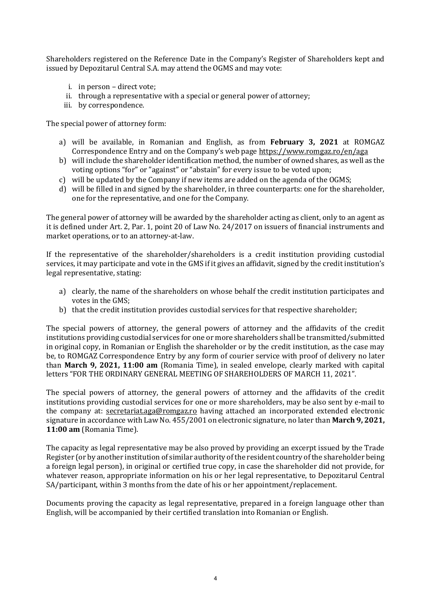Shareholders registered on the Reference Date in the Company's Register of Shareholders kept and issued by Depozitarul Central S.A. may attend the OGMS and may vote:

- i. in person direct vote;
- ii. through a representative with a special or general power of attorney;
- iii. by correspondence.

The special power of attorney form:

- a) will be available, in Romanian and English, as from **February 3, 2021** at ROMGAZ Correspondence Entry and on the Company's web page <https://www.romgaz.ro/en/aga>
- b) will include the shareholder identification method, the number of owned shares, as well as the voting options "for" or "against" or "abstain" for every issue to be voted upon;
- c) will be updated by the Company if new items are added on the agenda of the OGMS;
- d) will be filled in and signed by the shareholder, in three counterparts: one for the shareholder, one for the representative, and one for the Company.

The general power of attorney will be awarded by the shareholder acting as client, only to an agent as it is defined under Art. 2, Par. 1, point 20 of Law No. 24/2017 on issuers of financial instruments and market operations, or to an attorney-at-law.

If the representative of the shareholder/shareholders is a credit institution providing custodial services, it may participate and vote in the GMS if it gives an affidavit, signed by the credit institution's legal representative, stating:

- a) clearly, the name of the shareholders on whose behalf the credit institution participates and votes in the GMS;
- b) that the credit institution provides custodial services for that respective shareholder;

The special powers of attorney, the general powers of attorney and the affidavits of the credit institutions providing custodial services for one or more shareholders shall be transmitted/submitted in original copy, in Romanian or English the shareholder or by the credit institution, as the case may be, to ROMGAZ Correspondence Entry by any form of courier service with proof of delivery no later than **March 9, 2021, 11:00 am** (Romania Time), in sealed envelope, clearly marked with capital letters "FOR THE ORDINARY GENERAL MEETING OF SHAREHOLDERS OF MARCH 11, 2021".

The special powers of attorney, the general powers of attorney and the affidavits of the credit institutions providing custodial services for one or more shareholders, may be also sent by e-mail to the company at: [secretariat.aga@romgaz.ro](mailto:secretariat.aga%40romgaz.ro) having attached an incorporated extended electronic signature in accordance with Law No. 455/2001 on electronic signature, no later than **March 9, 2021, 11:00 am** (Romania Time).

The capacity as legal representative may be also proved by providing an excerpt issued by the Trade Register (or by another institution of similar authority of the resident country of the shareholder being a foreign legal person), in original or certified true copy, in case the shareholder did not provide, for whatever reason, appropriate information on his or her legal representative, to Depozitarul Central SA/participant, within 3 months from the date of his or her appointment/replacement.

Documents proving the capacity as legal representative, prepared in a foreign language other than English, will be accompanied by their certified translation into Romanian or English.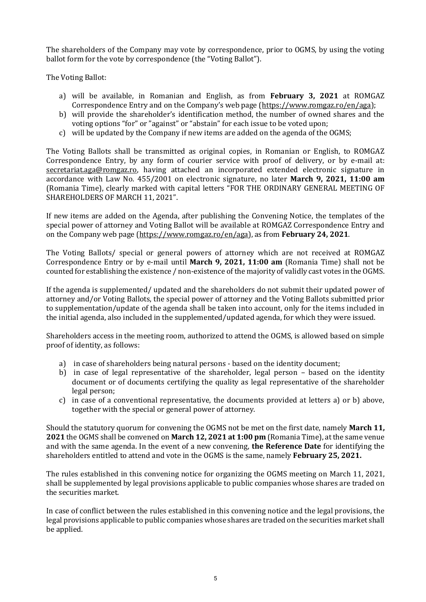The shareholders of the Company may vote by correspondence, prior to OGMS, by using the voting ballot form for the vote by correspondence (the "Voting Ballot").

The Voting Ballot:

- a) will be available, in Romanian and English, as from **February 3, 2021** at ROMGAZ Correspondence Entry and on the Company's web page ([https://www.romgaz.ro/en/aga\)](https://www.romgaz.ro/en/aga);
- b) will provide the shareholder's identification method, the number of owned shares and the voting options "for" or "against" or "abstain" for each issue to be voted upon;
- c) will be updated by the Company if new items are added on the agenda of the OGMS;

The Voting Ballots shall be transmitted as original copies, in Romanian or English, to ROMGAZ Correspondence Entry, by any form of courier service with proof of delivery, or by e-mail at: [secretariat.aga@romgaz.ro,](mailto:secretariat.aga%40romgaz.ro) having attached an incorporated extended electronic signature in accordance with Law No. 455/2001 on electronic signature, no later **March 9, 2021, 11:00 am**  (Romania Time), clearly marked with capital letters "FOR THE ORDINARY GENERAL MEETING OF SHAREHOLDERS OF MARCH 11, 2021".

If new items are added on the Agenda, after publishing the Convening Notice, the templates of the special power of attorney and Voting Ballot will be available at ROMGAZ Correspondence Entry and on the Company web page [\(https://www.romgaz.ro/en/aga\)](https://www.romgaz.ro/en/aga), as from **February 24, 2021**.

The Voting Ballots/ special or general powers of attorney which are not received at ROMGAZ Correspondence Entry or by e-mail until **March 9, 2021, 11:00 am** (Romania Time) shall not be counted for establishing the existence / non-existence of the majority of validly cast votes in the OGMS.

If the agenda is supplemented/ updated and the shareholders do not submit their updated power of attorney and/or Voting Ballots, the special power of attorney and the Voting Ballots submitted prior to supplementation/update of the agenda shall be taken into account, only for the items included in the initial agenda, also included in the supplemented/updated agenda, for which they were issued.

Shareholders access in the meeting room, authorized to attend the OGMS, is allowed based on simple proof of identity, as follows:

- a) in case of shareholders being natural persons based on the identity document;
- b) in case of legal representative of the shareholder, legal person based on the identity document or of documents certifying the quality as legal representative of the shareholder legal person;
- c) in case of a conventional representative, the documents provided at letters a) or b) above, together with the special or general power of attorney.

Should the statutory quorum for convening the OGMS not be met on the first date, namely **March 11, 2021** the OGMS shall be convened on **March 12, 2021 at 1:00 pm** (Romania Time), at the same venue and with the same agenda. In the event of a new convening, **the Reference Date** for identifying the shareholders entitled to attend and vote in the OGMS is the same, namely **February 25, 2021.**

The rules established in this convening notice for organizing the OGMS meeting on March 11, 2021, shall be supplemented by legal provisions applicable to public companies whose shares are traded on the securities market.

In case of conflict between the rules established in this convening notice and the legal provisions, the legal provisions applicable to public companies whose shares are traded on the securities market shall be applied.